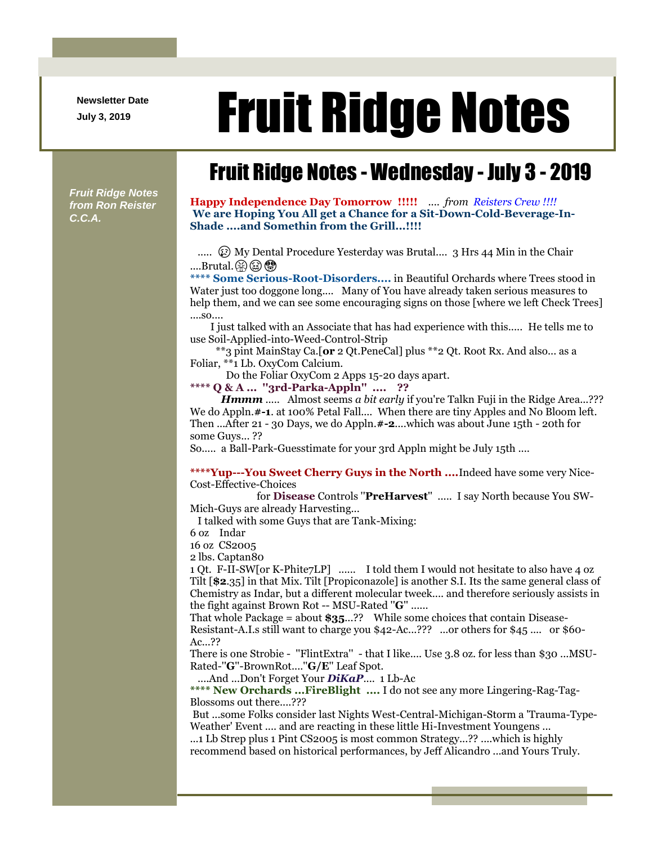**Newsletter Date**

## Newsletter Date **Fruit Ridge Notes**

## Fruit Ridge Notes - Wednesday - July 3 - 2019

*Fruit Ridge Notes from Ron Reister C.C.A.*

**Happy Independence Day Tomorrow !!!!!** .... *from Reisters Crew !!!!* **We are Hoping You All get a Chance for a Sit-Down-Cold-Beverage-In-Shade ....and Somethin from the Grill...!!!!**

.....  $\circled{E}$  My Dental Procedure Yesterday was Brutal.... 3 Hrs 44 Min in the Chair ....Brutal. $\circledR \circledR \circledR$ 

**\*\*\*\* Some Serious-Root-Disorders....** in Beautiful Orchards where Trees stood in Water just too doggone long.... Many of You have already taken serious measures to help them, and we can see some encouraging signs on those [where we left Check Trees] ....so....

I just talked with an Associate that has had experience with this..... He tells me to use Soil-Applied-into-Weed-Control-Strip

\*\*3 pint MainStay Ca.[**or** 2 Qt.PeneCal] plus \*\*2 Qt. Root Rx. And also... as a Foliar, \*\*1 Lb. OxyCom Calcium.

Do the Foliar OxyCom 2 Apps 15-20 days apart.

**\*\*\*\* Q & A ... ''3rd-Parka-Appln'' .... ??**

*Hmmm* ..... Almost seems *a bit early* if you're Talkn Fuji in the Ridge Area...??? We do Appln.**#-1**. at 100% Petal Fall.... When there are tiny Apples and No Bloom left. Then ...After 21 - 30 Days, we do Appln.**#-2**....which was about June 15th - 20th for some Guys... ??

So..... a Ball-Park-Guesstimate for your 3rd Appln might be July 15th ....

**\*\*\*\*Yup---You Sweet Cherry Guys in the North ....**Indeed have some very Nice-Cost-Effective-Choices

for **Disease** Controls ''**PreHarvest**'' ..... I say North because You SW-Mich-Guys are already Harvesting...

I talked with some Guys that are Tank-Mixing:

6 oz Indar

16 oz CS2005

2 lbs. Captan80

1 Qt. F-II-SW[or K-Phite7LP] ...... I told them I would not hesitate to also have 4 oz Tilt [**\$2**.35] in that Mix. Tilt [Propiconazole] is another S.I. Its the same general class of Chemistry as Indar, but a different molecular tweek.... and therefore seriously assists in the fight against Brown Rot -- MSU-Rated ''**G**'' ......

That whole Package = about **\$35**...?? While some choices that contain Disease-

Resistant-A.I.s still want to charge you \$42-Ac...??? ...or others for \$45 .... or \$60- Ac...??

There is one Strobie - ''FlintExtra'' - that I like.... Use 3.8 oz. for less than \$30 ...MSU-Rated-''**G**''-BrownRot....''**G/E**'' Leaf Spot.

....And ...Don't Forget Your *DiKaP*.... 1 Lb-Ac

**\*\*\*\* New Orchards ...FireBlight ....** I do not see any more Lingering-Rag-Tag-Blossoms out there....???

But ...some Folks consider last Nights West-Central-Michigan-Storm a 'Trauma-Type-Weather' Event .... and are reacting in these little Hi-Investment Youngens ...

...1 Lb Strep plus 1 Pint CS2005 is most common Strategy...?? ....which is highly recommend based on historical performances, by Jeff Alicandro ...and Yours Truly.